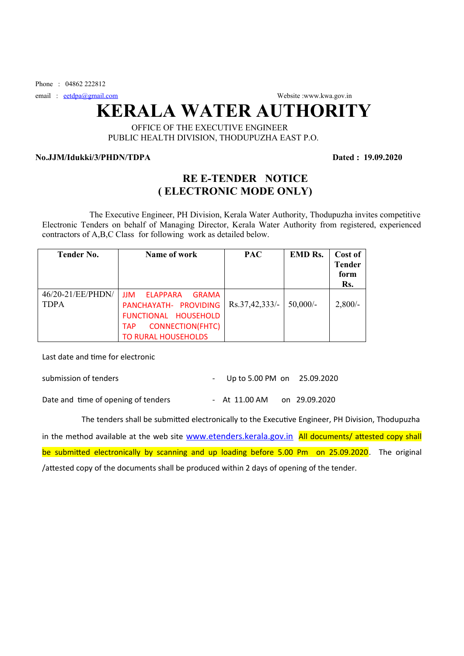Phone : 04862 222812

email : [eetdpa@gmail.com](mailto:eetdpa@gmail.com) Website :www.kwa.gov.in

# **KERALA WATER AUTHORITY**

### OFFICE OF THE EXECUTIVE ENGINEER PUBLIC HEALTH DIVISION, THODUPUZHA EAST P.O.

#### **No.JJM/Idukki/3/PHDN/TDPA Dated : 19.09.2020**

## **RE E-TENDER NOTICE ( ELECTRONIC MODE ONLY)**

 The Executive Engineer, PH Division, Kerala Water Authority, Thodupuzha invites competitive Electronic Tenders on behalf of Managing Director, Kerala Water Authority from registered, experienced contractors of A,B,C Class for following work as detailed below.

| <b>Tender No.</b>                | Name of work                                                                                                                                                   | <b>PAC</b>     | <b>EMD Rs.</b> | Cost of<br><b>Tender</b><br>form<br>Rs. |
|----------------------------------|----------------------------------------------------------------------------------------------------------------------------------------------------------------|----------------|----------------|-----------------------------------------|
| 46/20-21/EE/PHDN/<br><b>TDPA</b> | <b>JJM</b><br><b>ELAPPARA</b><br><b>GRAMA</b><br>PANCHAYATH- PROVIDING<br>FUNCTIONAL HOUSEHOLD<br><b>CONNECTION(FHTC)</b><br><b>TAP</b><br>TO RURAL HOUSEHOLDS | Rs.37,42,333/- | 50,000/        | $2,800/-$                               |

Last date and time for electronic

| submission of tenders               | - Up to 5.00 PM on $25.09.2020$ |  |
|-------------------------------------|---------------------------------|--|
| Date and time of opening of tenders | - At 11.00 AM on 29.09.2020     |  |

The tenders shall be submitted electronically to the Executive Engineer, PH Division, Thodupuzha

in the method available at the web site [www.etenders.kerala.gov.in](../../../../../Water%20authority/Downloads/www.etenders.kerala.gov.in) All documents/ attested copy shall be submitted electronically by scanning and up loading before 5.00 Pm on 25.09.2020. The original /attested copy of the documents shall be produced within 2 days of opening of the tender.